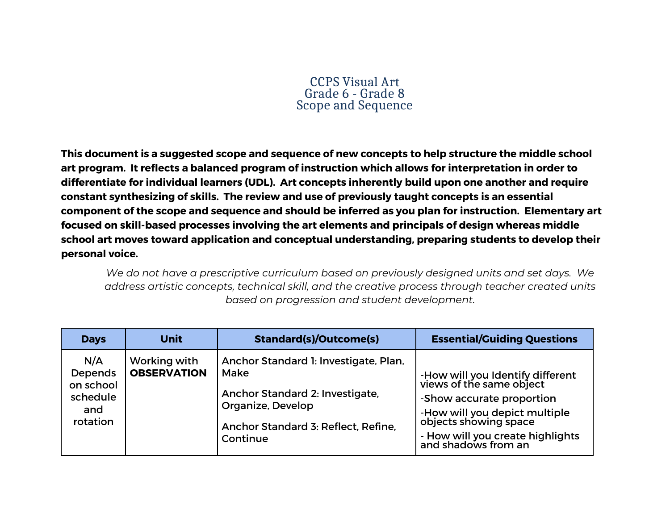## CCPS Visual Art Grade 6 - Grade 8 Scope and Sequence

**This document is a suggested scope and sequence of new concepts to help structure the middle school art program. It reflects a balanced program of instruction which allows for interpretation in order to differentiate for individual learners (UDL). Art concepts inherently build upon one another and require constant synthesizing of skills. The review and use of previously taught concepts is an essential component of the scope and sequence and should be inferred as you plan for instruction. Elementary art focused on skill-based processes involving the art elements and principals of design whereas middle school art moves toward application and conceptual understanding, preparing students to develop their personal voice.**

*We do not have a prescriptive curriculum based on previously designed units and set days. We address artistic concepts, technical skill, and the creative process through teacher created units based on progression and student development.*

| <b>Days</b>                                                       | <b>Unit</b>                        | <b>Standard(s)/Outcome(s)</b>                                                                                                                            | <b>Essential/Guiding Questions</b>                                                                                                                                                                             |
|-------------------------------------------------------------------|------------------------------------|----------------------------------------------------------------------------------------------------------------------------------------------------------|----------------------------------------------------------------------------------------------------------------------------------------------------------------------------------------------------------------|
| N/A<br><b>Depends</b><br>on school<br>schedule<br>and<br>rotation | Working with<br><b>OBSERVATION</b> | Anchor Standard 1: Investigate, Plan,<br>Make<br>Anchor Standard 2: Investigate,<br>Organize, Develop<br>Anchor Standard 3: Reflect, Refine,<br>Continue | -How will you Identify different<br>views of the same object<br>-Show accurate proportion<br>-How will you depict multiple<br>objects showing space<br>- How will you create highlights<br>and shadows from an |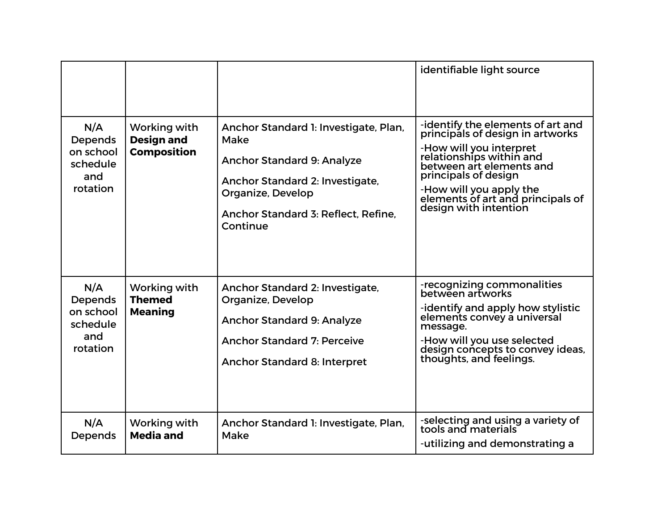|                                                            |                                                         |                                                                                                                                                                                               | identifiable light source                                                                                                                                                                                                                                                 |
|------------------------------------------------------------|---------------------------------------------------------|-----------------------------------------------------------------------------------------------------------------------------------------------------------------------------------------------|---------------------------------------------------------------------------------------------------------------------------------------------------------------------------------------------------------------------------------------------------------------------------|
| N/A<br>Depends<br>on school<br>schedule<br>and<br>rotation | Working with<br><b>Design and</b><br><b>Composition</b> | Anchor Standard 1: Investigate, Plan,<br>Make<br><b>Anchor Standard 9: Analyze</b><br>Anchor Standard 2: Investigate,<br>Organize, Develop<br>Anchor Standard 3: Reflect, Refine,<br>Continue | -identify the elements of art and<br>principals of design in artworks<br>-How will you interpret<br>relationships within and<br>between art elements and<br>principals of design<br>-How will you apply the<br>elements of art and principals of<br>design with intention |
| N/A<br>Depends<br>on school<br>schedule<br>and<br>rotation | Working with<br><b>Themed</b><br><b>Meaning</b>         | Anchor Standard 2: Investigate,<br>Organize, Develop<br><b>Anchor Standard 9: Analyze</b><br><b>Anchor Standard 7: Perceive</b><br>Anchor Standard 8: Interpret                               | -recognizing commonalities<br>between artworks<br>-identify and apply how stylistic<br>elements convey a universal<br>message.<br>-How will you use selected<br>design concepts to convey ideas,<br>thoughts, and feelings.                                               |
| N/A<br>Depends                                             | Working with<br><b>Media and</b>                        | Anchor Standard 1: Investigate, Plan,<br>Make                                                                                                                                                 | -selecting and using a variety of<br>tools and materials<br>-utilizing and demonstrating a                                                                                                                                                                                |